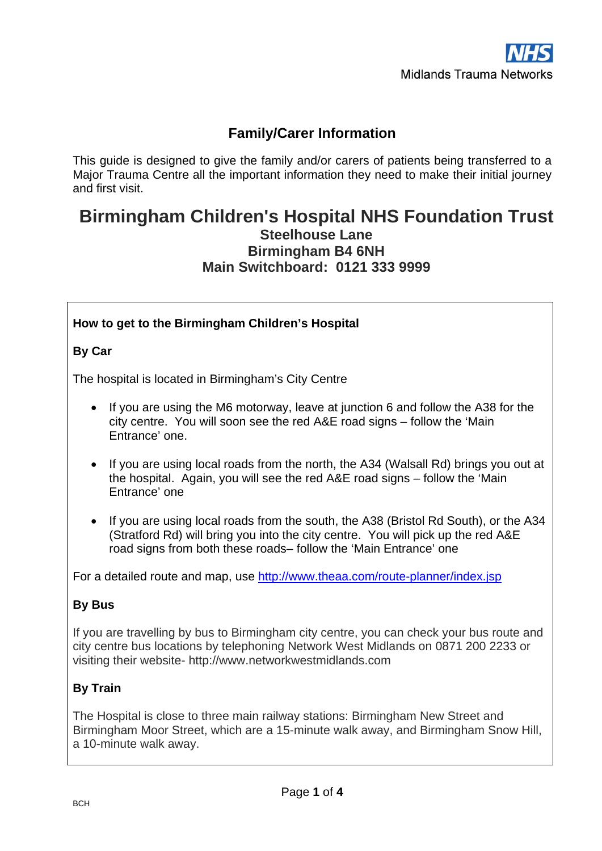# **Family/Carer Information**

This guide is designed to give the family and/or carers of patients being transferred to a Major Trauma Centre all the important information they need to make their initial journey and first visit.

# **Birmingham Children's Hospital NHS Foundation Trust Steelhouse Lane Birmingham B4 6NH Main Switchboard: 0121 333 9999**

### **How to get to the Birmingham Children's Hospital**

### **By Car**

The hospital is located in Birmingham's City Centre

- If you are using the M6 motorway, leave at junction 6 and follow the A38 for the city centre. You will soon see the red A&E road signs – follow the 'Main Entrance' one.
- If you are using local roads from the north, the A34 (Walsall Rd) brings you out at the hospital. Again, you will see the red A&E road signs – follow the 'Main Entrance' one
- If you are using local roads from the south, the A38 (Bristol Rd South), or the A34 (Stratford Rd) will bring you into the city centre. You will pick up the red A&E road signs from both these roads– follow the 'Main Entrance' one

For a detailed route and map, use<http://www.theaa.com/route-planner/index.jsp>

### **By Bus**

If you are travelling by bus to Birmingham city centre, you can check your bus route and city centre bus locations by telephoning Network West Midlands on 0871 200 2233 or visiting their website- http://www.networkwestmidlands.com

### **By Train**

The Hospital is close to three main railway stations: Birmingham New Street and Birmingham Moor Street, which are a 15-minute walk away, and Birmingham Snow Hill, a 10-minute walk away.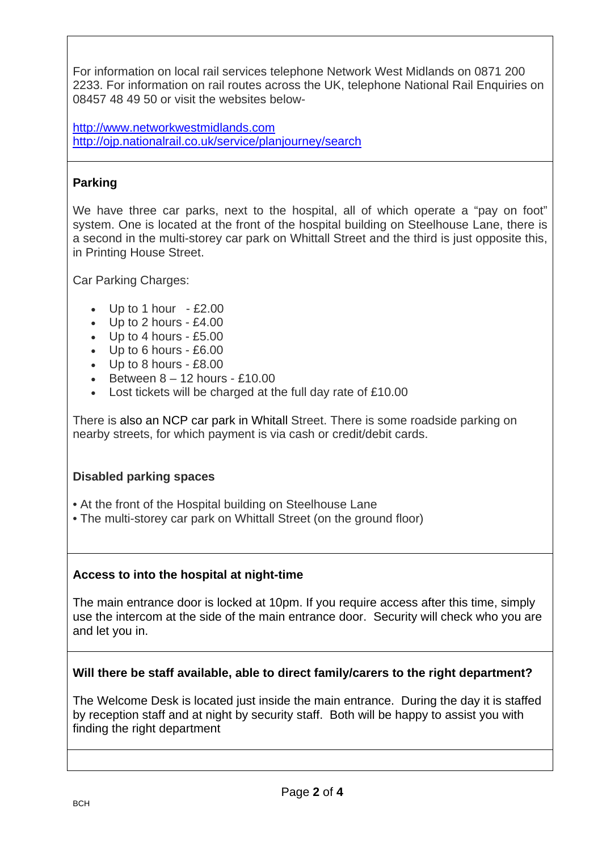For information on local rail services telephone Network West Midlands on 0871 200 2233. For information on rail routes across the UK, telephone National Rail Enquiries on 08457 48 49 50 or visit the websites below-

[http://www.networkwestmidlands.com](http://www.networkwestmidlands.com/) <http://ojp.nationalrail.co.uk/service/planjourney/search>

# **Parking**

We have three car parks, next to the hospital, all of which operate a "pay on foot" system. One is located at the front of the hospital building on Steelhouse Lane, there is a second in the multi-storey car park on Whittall Street and the third is just opposite this, in Printing House Street.

Car Parking Charges:

- Up to 1 hour  $-$  £2.00
- Up to 2 hours £4.00
- Up to 4 hours £5.00
- Up to 6 hours £6.00
- Up to 8 hours £8.00
- Between  $8 12$  hours £10.00
- Lost tickets will be charged at the full day rate of £10.00

There is also an [NCP car park](http://www.ncp.co.uk/find-a-car-park.htm?t=link&q=Whittall%20Street&via=0%23Whittall%20Street) in Whitall Street. There is some roadside parking on nearby streets, for which payment is via cash or credit/debit cards.

### **Disabled parking spaces**

- At the front of the Hospital building on Steelhouse Lane
- The multi-storey car park on Whittall Street (on the ground floor)

### **Access to into the hospital at night-time**

The main entrance door is locked at 10pm. If you require access after this time, simply use the intercom at the side of the main entrance door. Security will check who you are and let you in.

#### **Will there be staff available, able to direct family/carers to the right department?**

The Welcome Desk is located just inside the main entrance. During the day it is staffed by reception staff and at night by security staff. Both will be happy to assist you with finding the right department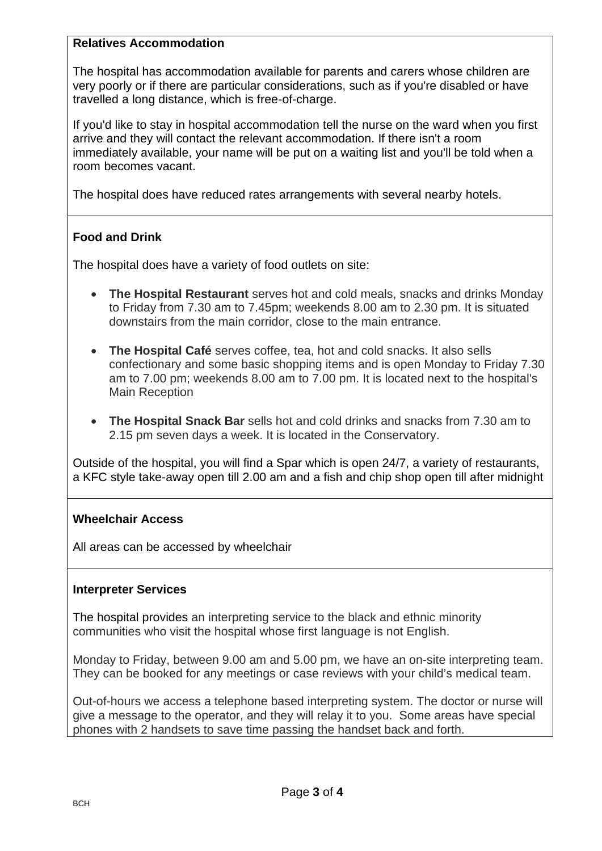#### **Relatives Accommodation**

The hospital has accommodation available for parents and carers whose children are very poorly or if there are particular considerations, such as if you're disabled or have travelled a long distance, which is free-of-charge.

If you'd like to stay in hospital accommodation tell the nurse on the ward when you first arrive and they will contact the relevant accommodation. If there isn't a room immediately available, your name will be put on a waiting list and you'll be told when a room becomes vacant.

The hospital does have reduced rates arrangements with several nearby [hotel](http://www.bch.nhs.uk/parents-and-carers/topics/where-to-stay)s.

## **Food and Drink**

The hospital does have a variety of food outlets on site:

- **The Hospital Restaurant** serves hot and cold meals, snacks and drinks Monday to Friday from 7.30 am to 7.45pm; weekends 8.00 am to 2.30 pm. It is situated downstairs from the main corridor, close to the main entrance.
- **The Hospital Café** serves coffee, tea, hot and cold snacks. It also sells confectionary and some basic shopping items and is open Monday to Friday 7.30 am to 7.00 pm; weekends 8.00 am to 7.00 pm. It is located next to the hospital's Main Reception
- **The Hospital Snack Bar** sells hot and cold drinks and snacks from 7.30 am to 2.15 pm seven days a week. It is located in the Conservatory.

Outside of the hospital, you will find a Spar which is open 24/7, a variety of restaurants, a KFC style take-away open till 2.00 am and a fish and chip shop open till after midnight

### **Wheelchair Access**

All areas can be accessed by wheelchair

#### **Interpreter Services**

The hospital provides an interpreting service to the black and ethnic minority communities who visit the hospital whose first language is not English.

Monday to Friday, between 9.00 am and 5.00 pm, we have an on-site interpreting team. They can be booked for any meetings or case reviews with your child's medical team.

Out-of-hours we access a telephone based interpreting system. The doctor or nurse will give a message to the operator, and they will relay it to you. Some areas have special phones with 2 handsets to save time passing the handset back and forth.